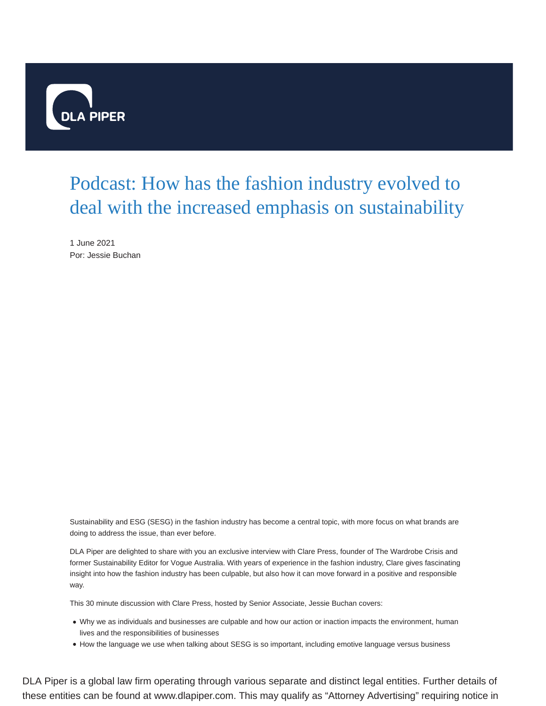

## Podcast: How has the fashion industry evolved to deal with the increased emphasis on sustainability

1 June 2021 Por: Jessie Buchan

Sustainability and ESG (SESG) in the fashion industry has become a central topic, with more focus on what brands are doing to address the issue, than ever before.

DLA Piper are delighted to share with you an exclusive interview with Clare Press, founder of The Wardrobe Crisis and former Sustainability Editor for Vogue Australia. With years of experience in the fashion industry, Clare gives fascinating insight into how the fashion industry has been culpable, but also how it can move forward in a positive and responsible way.

This 30 minute discussion with Clare Press, hosted by Senior Associate, Jessie Buchan covers:

- Why we as individuals and businesses are culpable and how our action or inaction impacts the environment, human lives and the responsibilities of businesses
- How the language we use when talking about SESG is so important, including emotive language versus business

DLA Piper is a global law firm operating through various separate and distinct legal entities. Further details of these entities can be found at www.dlapiper.com. This may qualify as "Attorney Advertising" requiring notice in